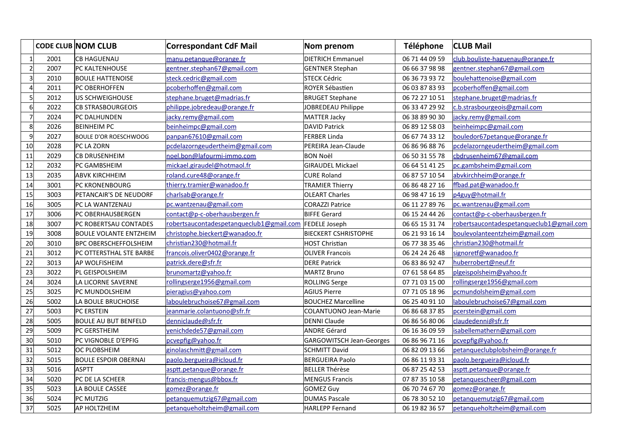|                       |      | <b>CODE CLUB NOM CLUB</b>     | <b>Correspondant CdF Mail</b>            | Nom prenom                      | Téléphone      | <b>CLUB Mail</b>                         |
|-----------------------|------|-------------------------------|------------------------------------------|---------------------------------|----------------|------------------------------------------|
| $\mathbf{1}$          | 2001 | CB HAGUENAU                   | manu.petanque@orange.fr                  | <b>DIETRICH Emmanuel</b>        | 06 71 44 09 59 | club.bouliste-haguenau@orange.fr         |
| $\overline{2}$        | 2007 | lPC KALTENHOUSE               | gentner.stephan67@gmail.com              | <b>GENTNER Stephan</b>          | 06 66 37 98 98 | gentner.stephan67@gmail.com              |
| 3                     | 2010 | <b>BOULE HATTENOISE</b>       | steck.cedric@gmail.com                   | STECK Cédric                    | 06 36 73 93 72 | boulehattenoise@gmail.com                |
| $\boldsymbol{\Delta}$ | 2011 | PC OBERHOFFEN                 | pcoberhoffen@gmail.com                   | ROYER Sébastien                 | 06 03 87 83 93 | pcoberhoffen@gmail.com                   |
| 5                     | 2012 | US SCHWEIGHOUSE               | stephane.bruget@madrias.fr               | <b>BRUGET Stephane</b>          | 06 72 27 10 51 | stephane.bruget@madrias.fr               |
| $6\overline{6}$       | 2022 | <b>CB STRASBOURGEOIS</b>      | philippe.jobredeau@orange.fr             | JOBREDEAU Philippe              | 06 33 47 29 92 | c.b.strasbourgeois@gmail.com             |
| $\overline{7}$        | 2024 | PC DALHUNDEN                  | jacky.remy@gmail.com                     | <b>MATTER Jacky</b>             | 06 38 89 90 30 | jacky.remy@gmail.com                     |
| 8                     | 2026 | <b>BEINHEIM PC</b>            | beinheimpc@gmail.com                     | <b>DAVID Patrick</b>            | 06 89 12 58 03 | beinheimpc@gmail.com                     |
| 9                     | 2027 | <b>BOULE D'OR ROESCHWOOG</b>  | panpan67610@gmail.com                    | <b>FERBER Linda</b>             | 06 67 74 33 12 | bouledor67petanque@orange.fr             |
| 10                    | 2028 | PC LA ZORN                    | pcdelazorngeudertheim@gmail.com          | PEREIRA Jean-Claude             | 06 86 96 88 76 | pcdelazorngeudertheim@gmail.com          |
| 11                    | 2029 | <b>CB DRUSENHEIM</b>          | noel.bon@lafourmi-immo.com               | <b>BON Noël</b>                 | 06 50 31 55 78 | cbdrusenheim67@gmail.com                 |
| 12                    | 2032 | PC GAMBSHEIM                  | mickael.giraudel@hotmaol.fr              | <b>GIRAUDEL Mickael</b>         | 06 64 51 41 25 | pc.gambsheim@gmail.com                   |
| 13                    | 2035 | <b>ABVK KIRCHHEIM</b>         | roland.cure48@orange.fr                  | <b>CURE Roland</b>              | 06 87 57 10 54 | abvkirchheim@orange.fr                   |
| 14                    | 3001 | PC KRONENBOURG                | thierry.tramier@wanadoo.fr               | <b>TRAMIER Thierry</b>          | 06 86 48 27 16 | ffbad.pat@wanadoo.fr                     |
| 15                    | 3003 | PETANCAIR'S DE NEUDORF        | charlsab@orange.fr                       | <b>OLEART Charles</b>           | 06 98 47 16 19 | p4guy@hotmail.fr                         |
| 16                    | 3005 | PC LA WANTZENAU               | pc.wantzenau@gmail.com                   | <b>CORAZZI Patrice</b>          | 06 11 27 89 76 | pc.wantzenau@gmail.com                   |
| 17                    | 3006 | PC OBERHAUSBERGEN             | contact@p-c-oberhausbergen.fr            | BIFFE Gerard                    | 06 15 24 44 26 | contact@p-c-oberhausbergen.fr            |
| 18                    | 3007 | PC ROBERTSAU CONTADES         | robertsaucontadespetanqueclub1@gmail.com | <b>FEDELE Joseph</b>            | 06 65 15 31 74 | robertsaucontadespetanqueclub1@gmail.com |
| 19                    | 3008 | <b>BOULE VOLANTE ENTZHEIM</b> | christophe.bieckert@wanadoo.fr           | <b>BIECKERT CSHRISTOPHE</b>     | 06 21 93 16 14 | boulevolanteentzheim@gmail.com           |
| 20                    | 3010 | <b>BPC OBERSCHEFFOLSHEIM</b>  | christian230@hotmail.fr                  | HOST Christian                  | 06 77 38 35 46 | christian230@hotmail.fr                  |
| 21                    | 3012 | PC OTTERSTHAL STE BARBE       | francois.oliver0402@orange.fr            | <b>OLIVER Francois</b>          | 06 24 24 26 48 | signoretf@wanadoo.fr                     |
| 22                    | 3013 | AP WOLFISHEIM                 | patrick.dere@sfr.fr                      | <b>DERE Patrick</b>             | 06 83 86 92 47 | huberrobert@neuf.fr                      |
| 23                    | 3022 | PL GEISPOLSHEIM               | brunomartz@yahoo.fr                      | <b>MARTZ Bruno</b>              | 07 61 58 64 85 | plgeispolsheim@yahoo.fr                  |
| 24                    | 3024 | LA LICORNE SAVERNE            | rollingserge1956@gmail.com               | <b>ROLLING Serge</b>            | 07 71 03 15 00 | rollingserge1956@gmail.com               |
| 25                    | 3025 | PC MUNDOLSHEIM                | pieragius@yahoo.com                      | <b>AGIUS Pierre</b>             | 07 71 05 18 96 | pcmundolsheim@gmail.com                  |
| 26                    | 5002 | LA BOULE BRUCHOISE            | laboulebruchoise67@gmail.com             | <b>BOUCHEZ Marcelline</b>       | 06 25 40 91 10 | laboulebruchoise67@gmail.com             |
| 27                    | 5003 | PC ERSTEIN                    | jeanmarie.colantuono@sfr.fr              | COLANTUONO Jean-Marie           | 06 86 68 37 85 | pcerstein@gmail.com                      |
| 28                    | 5005 | <b>BOULE AU BUT BENFELD</b>   | denniclaude@sfr.fr                       | DENNI Claude                    | 06 86 56 80 06 | claudedenni@sfr.fr                       |
| 29                    | 5009 | PC GERSTHEIM                  | venichdede57@gmail.com                   | ANDRE Gérard                    | 06 16 36 09 59 | isabellemathern@gmail.com                |
| 30                    | 5010 | PC VIGNOBLE D'EPFIG           | pcvepfig@yahoo.fr                        | <b>GARGOWITSCH Jean-Georges</b> | 06 86 96 71 16 | pcvepfig@yahoo.fr                        |
| 31                    | 5012 | <b>OC PLOBSHEIM</b>           | ginolaschmitt@gmail.com                  | SCHMITT David                   | 06 82 09 13 66 | petanqueclubplobsheim@orange.fr          |
| 32                    | 5015 | <b>BOULE ESPOIR OBERNAI</b>   | paolo.bergueira@icloud.fr                | <b>BERGUEIRA Paolo</b>          | 06 86 11 93 31 | paolo.bergueira@icloud.fr                |
| 33                    | 5016 | <b>ASPTT</b>                  | asptt.petanque@orange.fr                 | <b>BELLER Thérèse</b>           | 06 87 25 42 53 | asptt.petanque@orange.fr                 |
| 34                    | 5020 | PC DE LA SCHEER               | francis-mengus@bbox.fr                   | <b>MENGUS Francis</b>           | 07 87 35 10 58 | petanquescheer@gmail.com                 |
| 35                    | 5023 | LA BOULE CASSEE               | gomez@orange.fr                          | <b>GOMEZ Guy</b>                | 06 70 74 67 70 | gomez@orange.fr                          |
| 36                    | 5024 | PC MUTZIG                     | petanquemutzig67@gmail.com               | <b>DUMAS Pascale</b>            | 06 78 30 52 10 | petanquemutzig67@gmail.com               |
| 37                    | 5025 | <b>AP HOLTZHEIM</b>           | petanqueholtzheim@gmail.com              | <b>HARLEPP Fernand</b>          | 06 19 82 36 57 | petanqueholtzheim@gmail.com              |